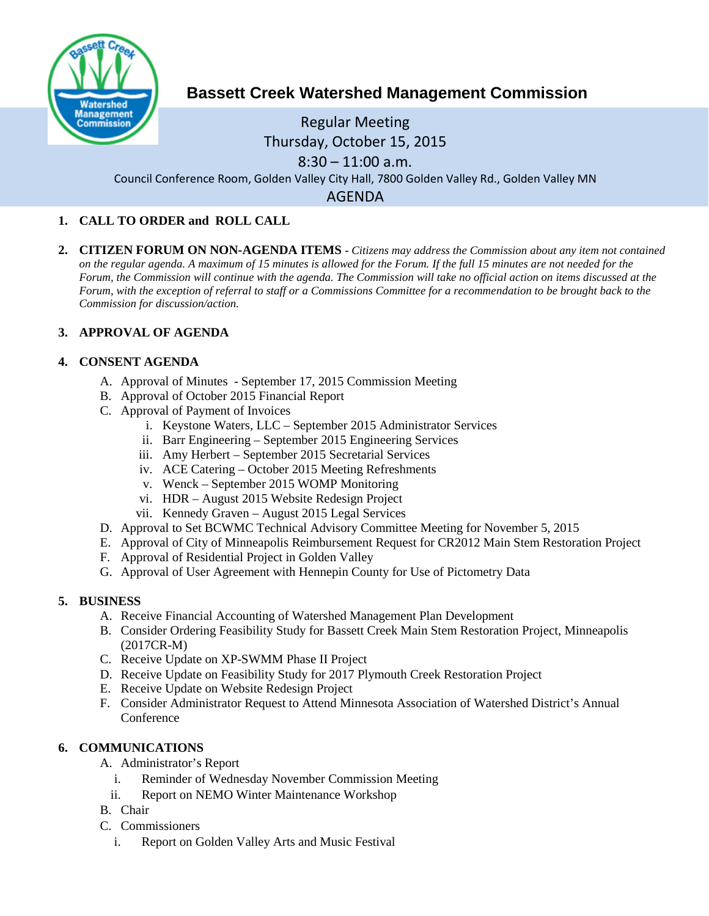

# **Bassett Creek Watershed Management Commission**

# Regular Meeting Thursday, October 15, 2015  $8:30 - 11:00$  a.m.

Council Conference Room, Golden Valley City Hall, 7800 Golden Valley Rd., Golden Valley MN

AGENDA

## **1. CALL TO ORDER and ROLL CALL**

**2. CITIZEN FORUM ON NON-AGENDA ITEMS -** *Citizens may address the Commission about any item not contained on the regular agenda. A maximum of 15 minutes is allowed for the Forum. If the full 15 minutes are not needed for the Forum, the Commission will continue with the agenda. The Commission will take no official action on items discussed at the Forum, with the exception of referral to staff or a Commissions Committee for a recommendation to be brought back to the Commission for discussion/action.*

### **3. APPROVAL OF AGENDA**

### **4. CONSENT AGENDA**

- A. Approval of Minutes September 17, 2015 Commission Meeting
- B. Approval of October 2015 Financial Report
- C. Approval of Payment of Invoices
	- i. Keystone Waters, LLC September 2015 Administrator Services
	- ii. Barr Engineering September 2015 Engineering Services
	- iii. Amy Herbert September 2015 Secretarial Services
	- iv. ACE Catering October 2015 Meeting Refreshments
	- v. Wenck September 2015 WOMP Monitoring
	- vi. HDR August 2015 Website Redesign Project
	- vii. Kennedy Graven August 2015 Legal Services
- D. Approval to Set BCWMC Technical Advisory Committee Meeting for November 5, 2015
- E. Approval of City of Minneapolis Reimbursement Request for CR2012 Main Stem Restoration Project
- F. Approval of Residential Project in Golden Valley
- G. Approval of User Agreement with Hennepin County for Use of Pictometry Data

### **5. BUSINESS**

- A. Receive Financial Accounting of Watershed Management Plan Development
- B. Consider Ordering Feasibility Study for Bassett Creek Main Stem Restoration Project, Minneapolis (2017CR-M)
- C. Receive Update on XP-SWMM Phase II Project
- D. Receive Update on Feasibility Study for 2017 Plymouth Creek Restoration Project
- E. Receive Update on Website Redesign Project
- F. Consider Administrator Request to Attend Minnesota Association of Watershed District's Annual Conference

### **6. COMMUNICATIONS**

- A. Administrator's Report
	- i. Reminder of Wednesday November Commission Meeting
	- ii. Report on NEMO Winter Maintenance Workshop
- B. Chair
- C. Commissioners
	- i. Report on Golden Valley Arts and Music Festival